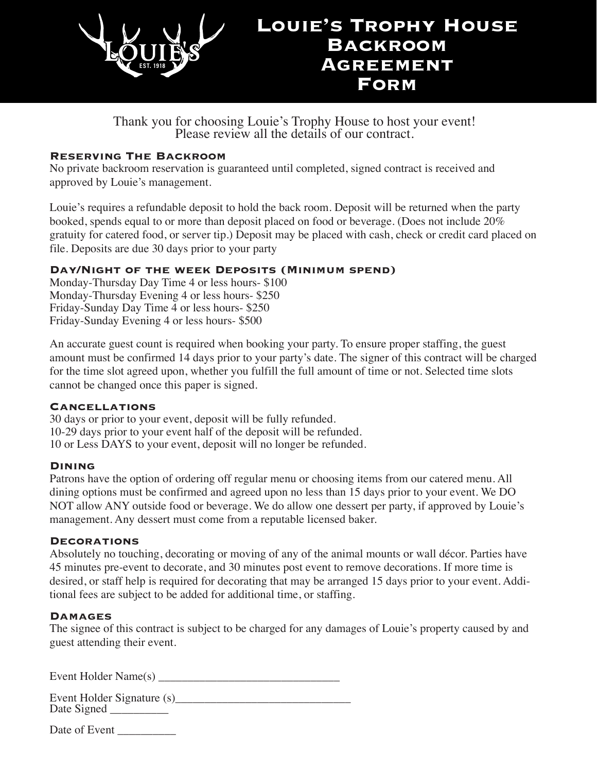

Thank you for choosing Louie's Trophy House to host your event! Please review all the details of our contract.

### **Reserving The Backroom**

No private backroom reservation is guaranteed until completed, signed contract is received and approved by Louie's management.

Louie's requires a refundable deposit to hold the back room. Deposit will be returned when the party booked, spends equal to or more than deposit placed on food or beverage. (Does not include 20% gratuity for catered food, or server tip.) Deposit may be placed with cash, check or credit card placed on file. Deposits are due 30 days prior to your party

### **Day/Night of the week Deposits (Minimum spend)**

Monday-Thursday Day Time 4 or less hours- \$100 Monday-Thursday Evening 4 or less hours- \$250 Friday-Sunday Day Time 4 or less hours- \$250 Friday-Sunday Evening 4 or less hours- \$500

An accurate guest count is required when booking your party. To ensure proper staffing, the guest amount must be confirmed 14 days prior to your party's date. The signer of this contract will be charged for the time slot agreed upon, whether you fulfill the full amount of time or not. Selected time slots cannot be changed once this paper is signed.

### **Cancellations**

30 days or prior to your event, deposit will be fully refunded. 10-29 days prior to your event half of the deposit will be refunded. 10 or Less DAYS to your event, deposit will no longer be refunded.

### **Dining**

Patrons have the option of ordering off regular menu or choosing items from our catered menu. All dining options must be confirmed and agreed upon no less than 15 days prior to your event. We DO NOT allow ANY outside food or beverage. We do allow one dessert per party, if approved by Louie's management. Any dessert must come from a reputable licensed baker.

### **Decorations**

Absolutely no touching, decorating or moving of any of the animal mounts or wall décor. Parties have 45 minutes pre-event to decorate, and 30 minutes post event to remove decorations. If more time is desired, or staff help is required for decorating that may be arranged 15 days prior to your event. Additional fees are subject to be added for additional time, or staffing.

### **Damages**

The signee of this contract is subject to be charged for any damages of Louie's property caused by and guest attending their event.

Event Holder Name $(s)$ 

Event Holder Signature (s) Date Signed <u>and</u>

Date of Event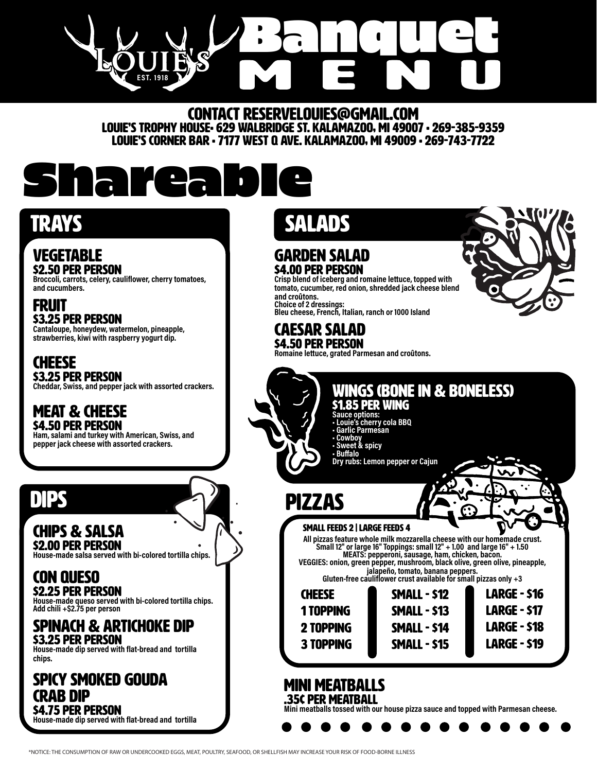Banquet **EST. 1918**

CONTACT reservelouies@gmail.com Louie's Trophy House• 629 Walbridge St. Kalamazoo, MI 49007 • 269-385-9359 Louie's Corner Bar • 7177 West Q Ave. Kalamazoo, MI 49009 • 269-743-7722

# Shareable

### **VEGETABLE** \$2.50 Per person

**Broccoli, carrots, celery, cauliflower, cherry tomatoes, and cucumbers.**

Fruit \$3.25 Per person **Cantaloupe, honeydew, watermelon, pineapple, strawberries, kiwi with raspberry yogurt dip.**

**CHEESE** \$3.25 Per person **Cheddar, Swiss, and pepper jack with assorted crackers.**

### Meat & Cheese **\$4.50 PER PERSON**

**Ham, salami and turkey with American, Swiss, and pepper jack cheese with assorted crackers.** 

## Dips

## Chips & Salsa \$2.00 Per person

**House-made salsa served with bi-colored tortilla chips.** 

### Con Queso \$2.25 Per person

**House-made queso served with bi-colored tortilla chips. Add chili +\$2.75 per person** 

## Spinach & Artichoke Dip \$3.25 Per person

**House-made dip served with flat-bread and tortilla chips.**

### Spicy Smoked Gouda Crab Dip **S4.75 PER PERSON House-made dip served with flat-bread and tortilla**

TRAYS SALADS

### Garden Salad \$4.00 Per person

**Crisp blend of iceberg and romaine lettuce, topped with tomato, cucumber, red onion, shredded jack cheese blend and croûtons. Choice of 2 dressings: Bleu cheese, French, Italian, ranch or 1000 Island**

### Caesar Salad **\$4.50 PER PERSON**

**Romaine lettuce, grated Parmesan and croûtons.** 



Large - \$16 Large - \$17 Large - \$18 Large - \$19

# • Buffalo

## Wings (bone in & boneless)

## \$1.85 Per wing

- **Sauce options: • Louie's cherry cola BBQ**
- **Garlic Parmesan**
- **Cowboy**
- **Sweet & spicy**

**Dry rubs: Lemon pepper or Cajun**

## Pizzas

SMALL FEEDS 2 | LARGE FEEDS 4<br>All pizzas feature whole milk mozzarella cheese with our homemade crust.<br>Small 12" or large 16" Toppings: small 12" + 1.00 and large 16" + 1.50 **EXECUTE THE INSTITUTE OF PERIODIC PROPERTION CONTROVER SHOWS**<br>VEGGIES: onion, green pepper, mushroom, black olive, green olive, pineapple,

**jalapeño, tomato, banana peppers. Gluten-free cauliflower crust available for small pizzas only +3**

| <u>uilleil-liee Caulliuwei Clusi availaule Iul Silla</u> |                     |
|----------------------------------------------------------|---------------------|
| <b>CHEESE</b>                                            | <b>SMALL - \$12</b> |
| 1 TOPPING                                                | <b>SMALL - \$13</b> |
| 2 TOPPING                                                | <b>SMALL - \$14</b> |
| <b>3 TOPPING</b>                                         | <b>SMALL - \$15</b> |
|                                                          |                     |

### MINI Meatballs .35¢ Per meatball

**Mini meatballs tossed with our house pizza sauce and topped with Parmesan cheese.** 

\*NOTICE: THE CONSUMPTION OF RAW OR UNDERCOOKED EGGS, MEAT, POULTRY, SEAFOOD, OR SHELLFISH MAY INCREASE YOUR RISK OF FOOD-BORNE ILLNESS